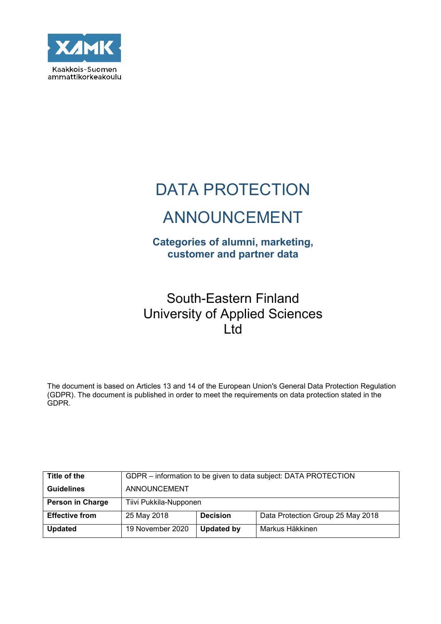

# DATA PROTECTION

# ANNOUNCEMENT

# **Categories of alumni, marketing, customer and partner data**

# South-Eastern Finland University of Applied Sciences Ltd

The document is based on Articles 13 and 14 of the European Union's General Data Protection Regulation (GDPR). The document is published in order to meet the requirements on data protection stated in the GDPR.

| Title of the          |                        |                   | GDPR – information to be given to data subject: DATA PROTECTION |
|-----------------------|------------------------|-------------------|-----------------------------------------------------------------|
| <b>Guidelines</b>     | ANNOUNCEMENT           |                   |                                                                 |
| Person in Charge      | Tiivi Pukkila-Nupponen |                   |                                                                 |
| <b>Effective from</b> | 25 May 2018            | <b>Decision</b>   | Data Protection Group 25 May 2018                               |
| <b>Updated</b>        | 19 November 2020       | <b>Updated by</b> | Markus Häkkinen                                                 |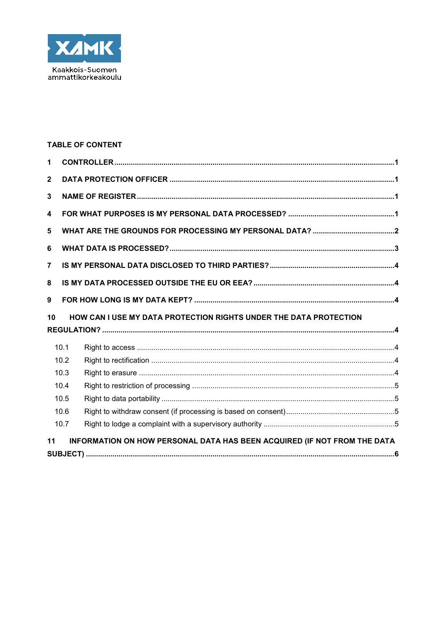

## **TABLE OF CONTENT**

| 1              |      |                                                                          |  |
|----------------|------|--------------------------------------------------------------------------|--|
| $\overline{2}$ |      |                                                                          |  |
| 3              |      |                                                                          |  |
| 4              |      |                                                                          |  |
| 5              |      |                                                                          |  |
| 6              |      |                                                                          |  |
| $\overline{7}$ |      |                                                                          |  |
| 8              |      |                                                                          |  |
| 9              |      |                                                                          |  |
|                |      |                                                                          |  |
| 10             |      | HOW CAN I USE MY DATA PROTECTION RIGHTS UNDER THE DATA PROTECTION        |  |
|                |      |                                                                          |  |
|                | 10.1 |                                                                          |  |
|                | 10.2 |                                                                          |  |
|                | 10.3 |                                                                          |  |
|                | 10.4 |                                                                          |  |
|                | 10.5 |                                                                          |  |
|                | 10.6 |                                                                          |  |
|                | 10.7 |                                                                          |  |
| 11             |      | INFORMATION ON HOW PERSONAL DATA HAS BEEN ACQUIRED (IF NOT FROM THE DATA |  |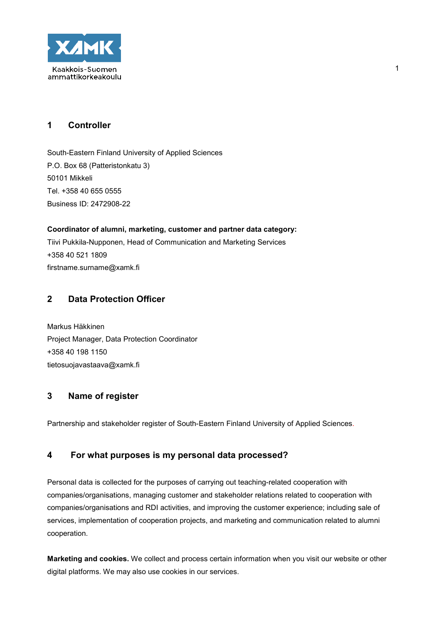

# **1 Controller**

South-Eastern Finland University of Applied Sciences P.O. Box 68 (Patteristonkatu 3) 50101 Mikkeli Tel. +358 40 655 0555 Business ID: 2472908-22

**Coordinator of alumni, marketing, customer and partner data category:** Tiivi Pukkila-Nupponen, Head of Communication and Marketing Services +358 40 521 1809 firstname.surname@xamk.fi

# **2 Data Protection Officer**

Markus Häkkinen Project Manager, Data Protection Coordinator +358 40 198 1150 tietosuojavastaava@xamk.fi

# **3 Name of register**

Partnership and stakeholder register of South-Eastern Finland University of Applied Sciences.

## **4 For what purposes is my personal data processed?**

Personal data is collected for the purposes of carrying out teaching-related cooperation with companies/organisations, managing customer and stakeholder relations related to cooperation with companies/organisations and RDI activities, and improving the customer experience; including sale of services, implementation of cooperation projects, and marketing and communication related to alumni cooperation.

**Marketing and cookies.** We collect and process certain information when you visit our website or other digital platforms. We may also use cookies in our services.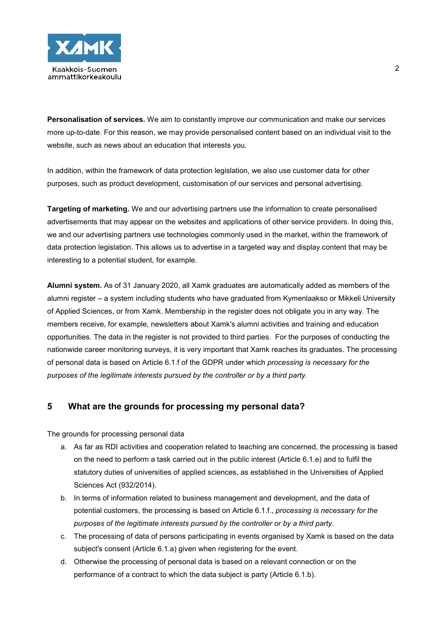

**Personalisation of services.** We aim to constantly improve our communication and make our services more up-to-date. For this reason, we may provide personalised content based on an individual visit to the website, such as news about an education that interests you.

In addition, within the framework of data protection legislation, we also use customer data for other purposes, such as product development, customisation of our services and personal advertising.

**Targeting of marketing.** We and our advertising partners use the information to create personalised advertisements that may appear on the websites and applications of other service providers. In doing this, we and our advertising partners use technologies commonly used in the market, within the framework of data protection legislation. This allows us to advertise in a targeted way and display content that may be interesting to a potential student, for example.

**Alumni system.** As of 31 January 2020, all Xamk graduates are automatically added as members of the alumni register – a system including students who have graduated from Kymenlaakso or Mikkeli University of Applied Sciences, or from Xamk. Membership in the register does not obligate you in any way. The members receive, for example, newsletters about Xamk's alumni activities and training and education opportunities. The data in the register is not provided to third parties. For the purposes of conducting the nationwide career monitoring surveys, it is very important that Xamk reaches its graduates. The processing of personal data is based on Article 6.1.f of the GDPR under which *processing is necessary for the purposes of the legitimate interests pursued by the controller or by a third party.*

## **5 What are the grounds for processing my personal data?**

The grounds for processing personal data

- a. As far as RDI activities and cooperation related to teaching are concerned, the processing is based on the need to perform a task carried out in the public interest (Article 6.1.e) and to fulfil the statutory duties of universities of applied sciences, as established in the Universities of Applied Sciences Act (932/2014).
- b. In terms of information related to business management and development, and the data of potential customers, the processing is based on Article 6.1.f., *processing is necessary for the purposes of the legitimate interests pursued by the controller or by a third party.*
- c. The processing of data of persons participating in events organised by Xamk is based on the data subject's consent (Article 6.1.a) given when registering for the event.
- d. Otherwise the processing of personal data is based on a relevant connection or on the performance of a contract to which the data subject is party (Article 6.1.b).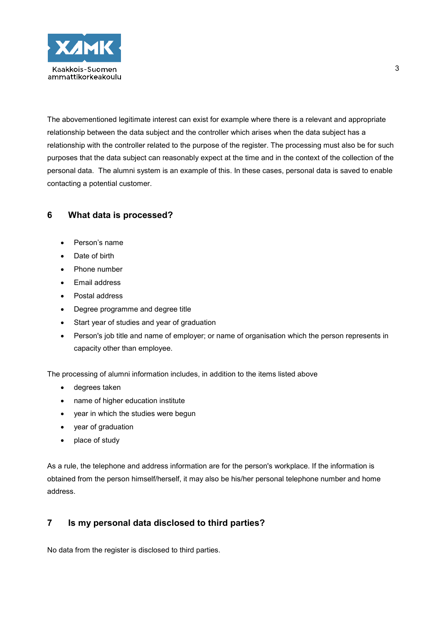

The abovementioned legitimate interest can exist for example where there is a relevant and appropriate relationship between the data subject and the controller which arises when the data subject has a relationship with the controller related to the purpose of the register. The processing must also be for such purposes that the data subject can reasonably expect at the time and in the context of the collection of the personal data. The alumni system is an example of this. In these cases, personal data is saved to enable contacting a potential customer.

## **6 What data is processed?**

- Person's name
- Date of birth
- Phone number
- Email address
- Postal address
- Degree programme and degree title
- Start year of studies and year of graduation
- Person's job title and name of employer; or name of organisation which the person represents in capacity other than employee.

The processing of alumni information includes, in addition to the items listed above

- degrees taken
- name of higher education institute
- year in which the studies were begun
- year of graduation
- place of study

As a rule, the telephone and address information are for the person's workplace. If the information is obtained from the person himself/herself, it may also be his/her personal telephone number and home address.

# **7 Is my personal data disclosed to third parties?**

No data from the register is disclosed to third parties.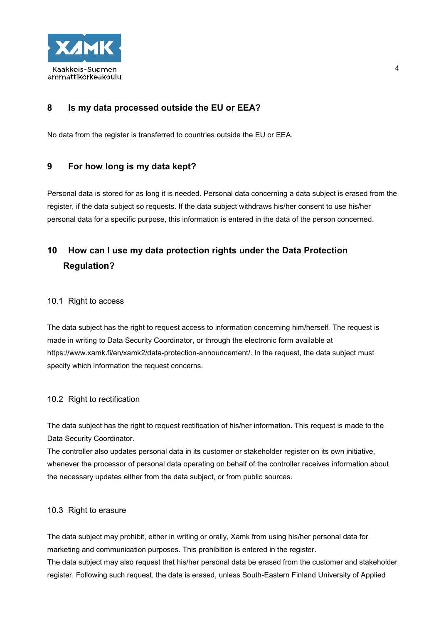

# **8 Is my data processed outside the EU or EEA?**

No data from the register is transferred to countries outside the EU or EEA.

### **9 For how long is my data kept?**

Personal data is stored for as long it is needed. Personal data concerning a data subject is erased from the register, if the data subject so requests. If the data subject withdraws his/her consent to use his/her personal data for a specific purpose, this information is entered in the data of the person concerned.

# **10 How can I use my data protection rights under the Data Protection Regulation?**

#### 10.1 Right to access

The data subject has the right to request access to information concerning him/herself. The request is made in writing to Data Security Coordinator, or through the electronic form available at https://www.xamk.fi/en/xamk2/data-protection-announcement/. In the request, the data subject must specify which information the request concerns.

#### 10.2 Right to rectification

The data subject has the right to request rectification of his/her information. This request is made to the Data Security Coordinator.

The controller also updates personal data in its customer or stakeholder register on its own initiative, whenever the processor of personal data operating on behalf of the controller receives information about the necessary updates either from the data subject, or from public sources.

#### 10.3 Right to erasure

The data subject may prohibit, either in writing or orally, Xamk from using his/her personal data for marketing and communication purposes. This prohibition is entered in the register.

The data subject may also request that his/her personal data be erased from the customer and stakeholder register. Following such request, the data is erased, unless South-Eastern Finland University of Applied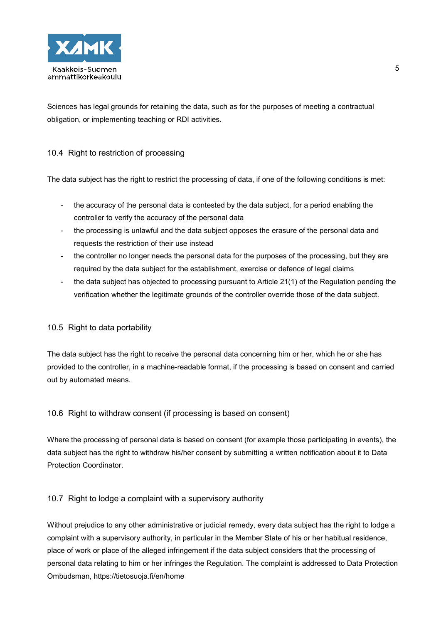

Sciences has legal grounds for retaining the data, such as for the purposes of meeting a contractual obligation, or implementing teaching or RDI activities.

### 10.4 Right to restriction of processing

The data subject has the right to restrict the processing of data, if one of the following conditions is met:

- the accuracy of the personal data is contested by the data subject, for a period enabling the controller to verify the accuracy of the personal data
- the processing is unlawful and the data subject opposes the erasure of the personal data and requests the restriction of their use instead
- the controller no longer needs the personal data for the purposes of the processing, but they are required by the data subject for the establishment, exercise or defence of legal claims
- the data subject has objected to processing pursuant to Article 21(1) of the Regulation pending the verification whether the legitimate grounds of the controller override those of the data subject.

#### 10.5 Right to data portability

The data subject has the right to receive the personal data concerning him or her, which he or she has provided to the controller, in a machine-readable format, if the processing is based on consent and carried out by automated means.

#### 10.6 Right to withdraw consent (if processing is based on consent)

Where the processing of personal data is based on consent (for example those participating in events), the data subject has the right to withdraw his/her consent by submitting a written notification about it to Data Protection Coordinator.

#### 10.7 Right to lodge a complaint with a supervisory authority

Without prejudice to any other administrative or judicial remedy, every data subject has the right to lodge a complaint with a supervisory authority, in particular in the Member State of his or her habitual residence, place of work or place of the alleged infringement if the data subject considers that the processing of personal data relating to him or her infringes the Regulation. The complaint is addressed to Data Protection Ombudsman, https://tietosuoja.fi/en/home